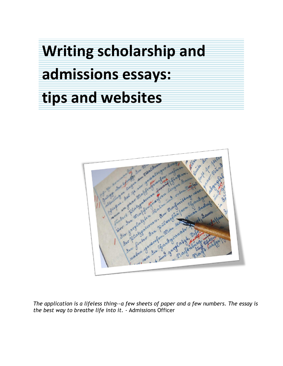# **Writing scholarship and**

# **admissions essays:**

# **tips and websites**



*The application is a lifeless thing--a few sheets of paper and a few numbers. The essay is the best way to breathe life into it.* - Admissions Officer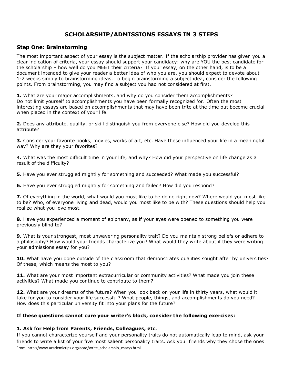## **SCHOLARSHIP/ADMISSIONS ESSAYS IN 3 STEPS**

### **Step One: Brainstorming**

The most important aspect of your essay is the subject matter. If the scholarship provider has given you a clear indication of criteria, your essay should support your candidacy: why are YOU the best candidate for the scholarship – how well do you MEET their criteria? If your essay, on the other hand, is to be a document intended to give your reader a better idea of who you are, you should expect to devote about 1-2 weeks simply to brainstorming ideas. To begin brainstorming a subject idea, consider the following points. From brainstorming, you may find a subject you had not considered at first.

**1.** What are your major accomplishments, and why do you consider them accomplishments? Do not limit yourself to accomplishments you have been formally recognized for. Often the most interesting essays are based on accomplishments that may have been trite at the time but become crucial when placed in the context of your life.

**2.** Does any attribute, quality, or skill distinguish you from everyone else? How did you develop this attribute?

**3.** Consider your favorite books, movies, works of art, etc. Have these influenced your life in a meaningful way? Why are they your favorites?

**4.** What was the most difficult time in your life, and why? How did your perspective on life change as a result of the difficulty?

**5.** Have you ever struggled mightily for something and succeeded? What made you successful?

**6.** Have you ever struggled mightily for something and failed? How did you respond?

**7.** Of everything in the world, what would you most like to be doing right now? Where would you most like to be? Who, of everyone living and dead, would you most like to be with? These questions should help you realize what you love most.

**8.** Have you experienced a moment of epiphany, as if your eyes were opened to something you were previously blind to?

**9.** What is your strongest, most unwavering personality trait? Do you maintain strong beliefs or adhere to a philosophy? How would your friends characterize you? What would they write about if they were writing your admissions essay for you?

**10.** What have you done outside of the classroom that demonstrates qualities sought after by universities? Of these, which means the most to you?

**11.** What are your most important extracurricular or community activities? What made you join these activities? What made you continue to contribute to them?

12. What are your dreams of the future? When you look back on your life in thirty years, what would it take for you to consider your life successful? What people, things, and accomplishments do you need? How does this particular university fit into your plans for the future?

#### **If these questions cannot cure your writer's block, consider the following exercises:**

#### **1. Ask for Help from Parents, Friends, Colleagues, etc.**

From: http://www.academictips.org/acad/write\_scholarship\_essays.html If you cannot characterize yourself and your personality traits do not automatically leap to mind, ask your friends to write a list of your five most salient personality traits. Ask your friends why they chose the ones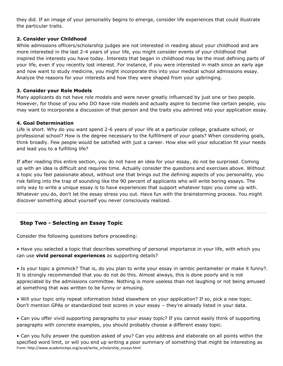they did. If an image of your personality begins to emerge, consider life experiences that could illustrate the particular traits.

### **2. Consider your Childhood**

While admissions officers/scholarship judges are not interested in reading about your childhood and are more interested in the last 2-4 years of your life, you might consider events of your childhood that inspired the interests you have today. Interests that began in childhood may be the most defining parts of your life, even if you recently lost interest. For instance, if you were interested in math since an early age and now want to study medicine, you might incorporate this into your medical school admissions essay. Analyze the reasons for your interests and how they were shaped from your upbringing.

### **3. Consider your Role Models**

Many applicants do not have role models and were never greatly influenced by just one or two people. However, for those of you who DO have role models and actually aspire to become like certain people, you may want to incorporate a discussion of that person and the traits you admired into your application essay.

#### **4. Goal Determination**

Life is short. Why do you want spend 2-6 years of your life at a particular college, graduate school, or professional school? How is the degree necessary to the fulfillment of your goals? When considering goals, think broadly. Few people would be satisfied with just a career. How else will your education fit your needs and lead you to a fulfilling life?

If after reading this entire section, you do not have an idea for your essay, do not be surprised. Coming up with an idea is difficult and requires time. Actually consider the questions and exercises above. Without a topic you feel passionate about, without one that brings out the defining aspects of you personality, you risk falling into the trap of sounding like the 90 percent of applicants who will write boring essays. The only way to write a unique essay is to have experiences that support whatever topic you come up with. Whatever you do, don't let the essay stress you out. Have fun with the brainstorming process. You might discover something about yourself you never consciously realized.

## **Step Two - Selecting an Essay Topic**

Consider the following questions before proceeding:

• Have you selected a topic that describes something of personal importance in your life, with which you can use **vivid personal experiences** as supporting details?

• Is your topic a gimmick? That is, do you plan to write your essay in iambic pentameter or make it funny?. It is strongly recommended that you do not do this. Almost always, this is done poorly and is not appreciated by the admissions committee. Nothing is more useless than not laughing or not being amused at something that was written to be funny or amusing.

• Will your topic only repeat information listed elsewhere on your application? If so, pick a new topic. Don't mention GPAs or standardized test scores in your essay – they're already listed in your data.

• Can you offer vivid supporting paragraphs to your essay topic? If you cannot easily think of supporting paragraphs with concrete examples, you should probably choose a different essay topic.

From: http://www.academictips.org/acad/write\_scholarship\_essays.html • Can you fully answer the question asked of you? Can you address and elaborate on all points within the specified word limit, or will you end up writing a poor summary of something that might be interesting as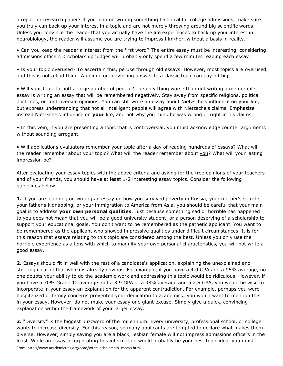a report or research paper? If you plan on writing something technical for college admissions, make sure you truly can back up your interest in a topic and are not merely throwing around big scientific words. Unless you convince the reader that you actually have the life experiences to back up your interest in neurobiology, the reader will assume you are trying to impress him/her, without a basis in reality.

• Can you keep the reader's interest from the first word? The entire essay must be interesting, considering admissions officers & scholarship judges will probably only spend a few minutes reading each essay.

• Is your topic overused? To ascertain this, peruse through old essays. However, most topics are overused, and this is not a bad thing. A unique or convincing answer to a classic topic can pay off big.

• Will your topic turnoff a large number of people? The only thing worse than not writing a memorable essay is writing an essay that will be remembered negatively. Stay away from specific religions, political doctrines, or controversial opinions. You can still write an essay about Nietzsche's influence on your life, but express understanding that not all intelligent people will agree with Nietzsche's claims. Emphasize instead Nietzsche's influence on **your** life, and not why you think he was wrong or right in his claims.

• In this vein, if you are presenting a topic that is controversial, you must acknowledge counter arguments without sounding arrogant.

• Will applications evaluators remember your topic after a day of reading hundreds of essays? What will the reader remember about your topic? What will the reader remember about you? What will your lasting impression be?

After evaluating your essay topics with the above criteria and asking for the free opinions of your teachers and of your friends, you should have at least 1-2 interesting essay topics. Consider the following guidelines below.

**1.** If you are planning on writing an essay on how you survived poverty in Russia, your mother's suicide, your father's kidnapping, or your immigration to America from Asia, you should be careful that your main goal is to address **your own personal qualities**. Just because something sad or horrible has happened to you does not mean that you will be a good university student, or a person deserving of a scholarship to support your educational goals. You don't want to be remembered as the pathetic applicant. You want to be remembered as the applicant who showed impressive qualities under difficult circumstances. It is for this reason that essays relating to this topic are considered among the best. Unless you only use the horrible experience as a lens with which to magnify your own personal characteristics, you will not write a good essay.

**2.** Essays should fit in well with the rest of a candidate's application, explaining the unexplained and steering clear of that which is already obvious. For example, if you have a 4.0 GPA and a 95% average, no one doubts your ability to do the academic work and addressing this topic would be ridiculous. However, if you have a 70% Grade 12 average and a 3.9 GPA or a 98% average and a 2.5 GPA, you would be wise to incorporate in your essay an explanation for the apparent contradiction. For example, perhaps you were hospitalized or family concerns prevented your dedication to academics; you would want to mention this in your essay. However, do not make your essay one giant excuse. Simply give a quick, convincing explanation within the framework of your larger essay.

From: http://www.academictips.org/acad/write\_scholarship\_essays.html **3.** "Diversity" is the biggest buzzword of the millennium! Every university, professional school, or college wants to increase diversity. For this reason, so many applicants are tempted to declare what makes them diverse. However, simply saying you are a black, lesbian female will not impress admissions officers in the least. While an essay incorporating this information would probably be your best topic idea, you must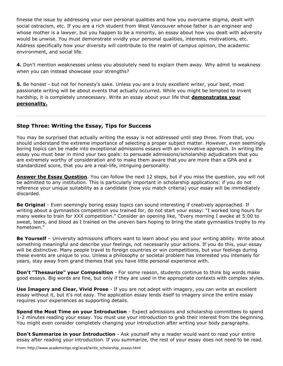finesse the issue by addressing your own personal qualities and how you overcame stigma, dealt with social ostracism, etc. If you are a rich student from West Vancouver whose father is an engineer and whose mother is a lawyer, but you happen to be a minority, an essay about how you dealt with adversity would be unwise. You must demonstrate vividly your personal qualities, interests, motivations, etc. Address specifically how your diversity will contribute to the realm of campus opinion, the academic environment, and social life.

**4.** Don't mention weaknesses unless you absolutely need to explain them away. Why admit to weakness when you can instead showcase your strengths?

**5.** Be honest - but not for honesty's sake. Unless you are a truly excellent writer, your best, most passionate writing will be about events that actually occurred. While you might be tempted to invent hardship, it is completely unnecessary. Write an essay about your life that **demonstrates your personality.**

## **Step Three: Writing the Essay, Tips for Success**

You may be surprised that actually writing the essay is not addressed until step three. From that, you should understand the extreme importance of selecting a proper subject matter. However, even seemingly boring topics can be made into exceptional admissions essays with an innovative approach. In writing the essay you must bear in mind your two goals: to persuade admissions/scholarship adjudicators that you are extremely worthy of consideration and to make them aware that you are more than a GPA and a standardized score, that you are a real-life, intriguing personality.

**Answer the Essay Question**. You can follow the next 12 steps, but if you miss the question, you will not be admitted to any institution. This is particularly important in scholarship applications: if you do not reference your unique suitability as a candidate (how you match criteria) your essay will be immediately discarded.

**Be Original** - Even seemingly boring essay topics can sound interesting if creatively approached. If writing about a gymnastics competition you trained for, do not start your essay: "I worked long hours for many weeks to train for XXX competition." Consider an opening like, "Every morning I awoke at 5:00 to sweat, tears, and blood as I trained on the uneven bars hoping to bring the state gymnastics trophy to my hometown."

**Be Yourself** – University admissions officers want to learn about you and your writing ability. Write about something meaningful and describe your feelings, not necessarily your actions. If you do this, your essay will be distinctive. Many people travel to foreign countries or win competitions, but your feelings during these events are unique to you. Unless a philosophy or societal problem has interested you intensely for years, stay away from grand themes that you have little personal experience with.

**Don't "Thesaurize" your Composition** - For some reason, students continue to think big words make good essays. Big words are fine, but only if they are used in the appropriate contexts with complex styles.

**Use Imagery and Clear, Vivid Prose** - If you are not adept with imagery, you can write an excellent essay without it, but it's not easy. The application essay lends itself to imagery since the entire essay requires your experiences as supporting details.

**Spend the Most Time on your Introduction** - Expect admissions and scholarship committees to spend 1-2 minutes reading your essay. You must use your introduction to grab their interest from the beginning. You might even consider completely changing your introduction after writing your body paragraphs.

**Don't Summarize in your Introduction** - Ask yourself why a reader would want to read your entire essay after reading your introduction. If you summarize, the rest of your essay does not need to be read.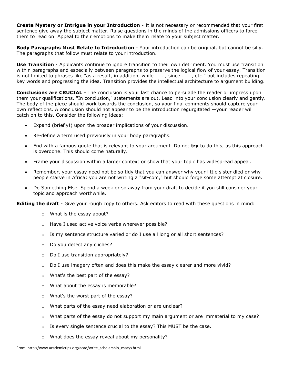**Create Mystery or Intrigue in your Introduction** - It is not necessary or recommended that your first sentence give away the subject matter. Raise questions in the minds of the admissions officers to force them to read on. Appeal to their emotions to make them relate to your subject matter.

**Body Paragraphs Must Relate to Introduction** - Your introduction can be original, but cannot be silly. The paragraphs that follow must relate to your introduction.

**Use Transition** - Applicants continue to ignore transition to their own detriment. You must use transition within paragraphs and especially between paragraphs to preserve the logical flow of your essay. Transition is not limited to phrases like "as a result, in addition, while . . . , since . . . , etc." but includes repeating key words and progressing the idea. Transition provides the intellectual architecture to argument building.

**Conclusions are CRUCIAL** - The conclusion is your last chance to persuade the reader or impress upon them your qualifications. "In conclusion," statements are out. Lead into your conclusion clearly and gently. The body of the piece should work towards the conclusion, so your final comments should capture your own reflections. A conclusion should not appear to be the introduction regurgitated —your reader will catch on to this. Consider the following ideas:

- Expand (briefly!) upon the broader implications of your discussion.
- Re-define a term used previously in your body paragraphs.
- End with a famous quote that is relevant to your argument. Do not **try** to do this, as this approach is overdone. This should come naturally.
- Frame your discussion within a larger context or show that your topic has widespread appeal.
- Remember, your essay need not be so tidy that you can answer why your little sister died or why people starve in Africa; you are not writing a "sit-com," but should forge some attempt at closure.
- Do Something Else. Spend a week or so away from your draft to decide if you still consider your topic and approach worthwhile.

**Editing the draft** - Give your rough copy to others. Ask editors to read with these questions in mind:

- o What is the essay about?
- o Have I used active voice verbs wherever possible?
- $\circ$  Is my sentence structure varied or do I use all long or all short sentences?
- o Do you detect any cliches?
- o Do I use transition appropriately?
- $\circ$  Do I use imagery often and does this make the essay clearer and more vivid?
- o What's the best part of the essay?
- o What about the essay is memorable?
- o What's the worst part of the essay?
- o What parts of the essay need elaboration or are unclear?
- $\circ$  What parts of the essay do not support my main argument or are immaterial to my case?
- $\circ$  Is every single sentence crucial to the essay? This MUST be the case.
- o What does the essay reveal about my personality?